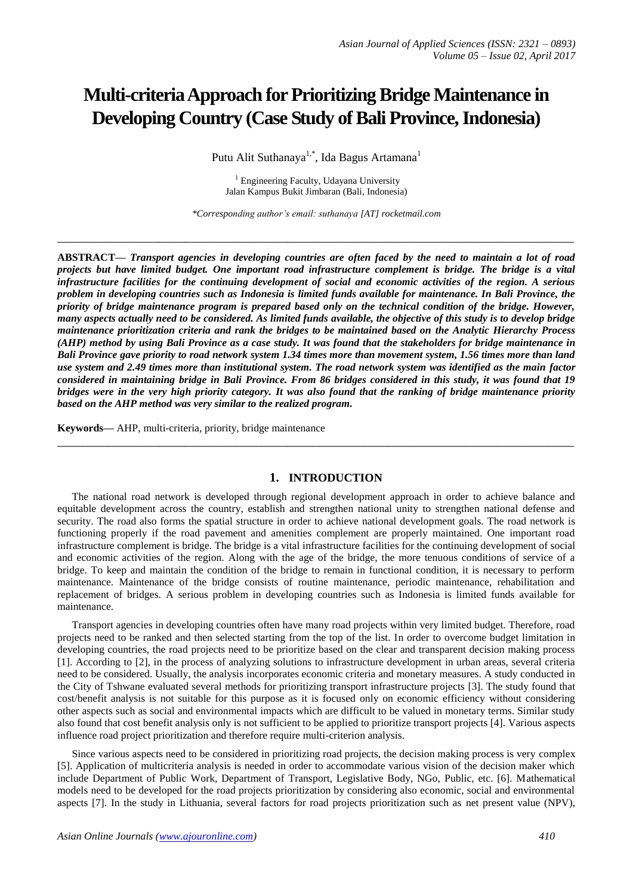# **Multi-criteria Approach for Prioritizing Bridge Maintenance in Developing Country (Case Study of Bali Province, Indonesia)**

Putu Alit Suthanaya<sup>1,\*</sup>, Ida Bagus Artamana<sup>1</sup>

<sup>1</sup> Engineering Faculty, Udayana University Jalan Kampus Bukit Jimbaran (Bali, Indonesia)

*\*Corresponding author's email: suthanaya [AT] rocketmail.com*

**\_\_\_\_\_\_\_\_\_\_\_\_\_\_\_\_\_\_\_\_\_\_\_\_\_\_\_\_\_\_\_\_\_\_\_\_\_\_\_\_\_\_\_\_\_\_\_\_\_\_\_\_\_\_\_\_\_\_\_\_\_\_\_\_\_\_\_\_\_\_\_\_\_\_\_\_\_\_\_\_\_**

**ABSTRACT—** *Transport agencies in developing countries are often faced by the need to maintain a lot of road projects but have limited budget. One important road infrastructure complement is bridge. The bridge is a vital infrastructure facilities for the continuing development of social and economic activities of the region. A serious problem in developing countries such as Indonesia is limited funds available for maintenance. In Bali Province, the priority of bridge maintenance program is prepared based only on the technical condition of the bridge. However, many aspects actually need to be considered. As limited funds available, the objective of this study is to develop bridge maintenance prioritization criteria and rank the bridges to be maintained based on the Analytic Hierarchy Process (AHP) method by using Bali Province as a case study. It was found that the stakeholders for bridge maintenance in Bali Province gave priority to road network system 1.34 times more than movement system, 1.56 times more than land use system and 2.49 times more than institutional system. The road network system was identified as the main factor considered in maintaining bridge in Bali Province. From 86 bridges considered in this study, it was found that 19 bridges were in the very high priority category. It was also found that the ranking of bridge maintenance priority based on the AHP method was very similar to the realized program.*

**Keywords—** AHP, multi-criteria, priority, bridge maintenance

#### **1. INTRODUCTION**

**\_\_\_\_\_\_\_\_\_\_\_\_\_\_\_\_\_\_\_\_\_\_\_\_\_\_\_\_\_\_\_\_\_\_\_\_\_\_\_\_\_\_\_\_\_\_\_\_\_\_\_\_\_\_\_\_\_\_\_\_\_\_\_\_\_\_\_\_\_\_\_\_\_\_\_\_\_\_\_\_\_**

The national road network is developed through regional development approach in order to achieve balance and equitable development across the country, establish and strengthen national unity to strengthen national defense and security. The road also forms the spatial structure in order to achieve national development goals. The road network is functioning properly if the road pavement and amenities complement are properly maintained. One important road infrastructure complement is bridge. The bridge is a vital infrastructure facilities for the continuing development of social and economic activities of the region. Along with the age of the bridge, the more tenuous conditions of service of a bridge. To keep and maintain the condition of the bridge to remain in functional condition, it is necessary to perform maintenance. Maintenance of the bridge consists of routine maintenance, periodic maintenance, rehabilitation and replacement of bridges. A serious problem in developing countries such as Indonesia is limited funds available for maintenance.

Transport agencies in developing countries often have many road projects within very limited budget. Therefore, road projects need to be ranked and then selected starting from the top of the list. In order to overcome budget limitation in developing countries, the road projects need to be prioritize based on the clear and transparent decision making process [1]. According to [2], in the process of analyzing solutions to infrastructure development in urban areas, several criteria need to be considered. Usually, the analysis incorporates economic criteria and monetary measures. A study conducted in the City of Tshwane evaluated several methods for prioritizing transport infrastructure projects [3]. The study found that cost/benefit analysis is not suitable for this purpose as it is focused only on economic efficiency without considering other aspects such as social and environmental impacts which are difficult to be valued in monetary terms. Similar study also found that cost benefit analysis only is not sufficient to be applied to prioritize transport projects [4]. Various aspects influence road project prioritization and therefore require multi-criterion analysis.

Since various aspects need to be considered in prioritizing road projects, the decision making process is very complex [5]. Application of multicriteria analysis is needed in order to accommodate various vision of the decision maker which include Department of Public Work, Department of Transport, Legislative Body, NGo, Public, etc. [6]. Mathematical models need to be developed for the road projects prioritization by considering also economic, social and environmental aspects [7]. In the study in Lithuania, several factors for road projects prioritization such as net present value (NPV),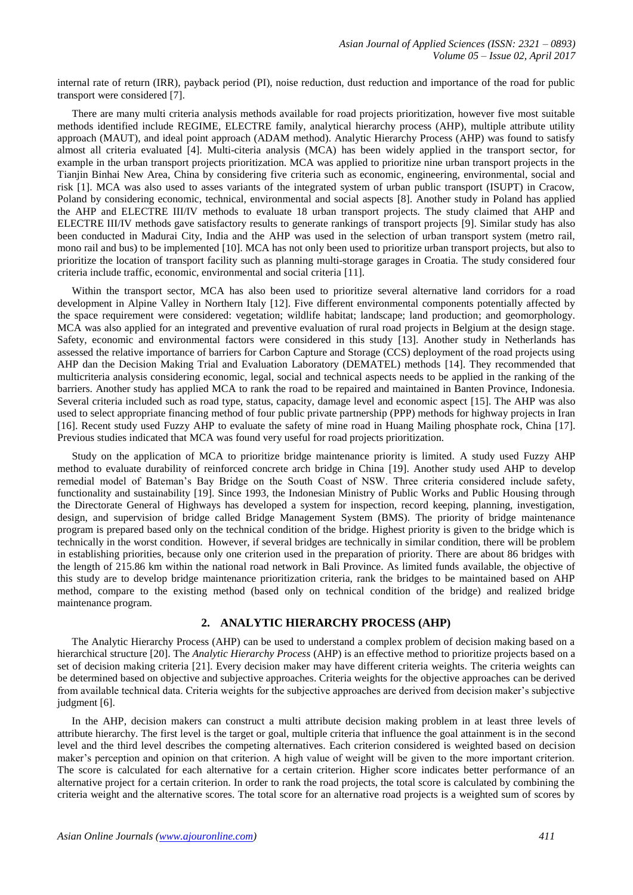internal rate of return (IRR), payback period (PI), noise reduction, dust reduction and importance of the road for public transport were considered [7].

There are many multi criteria analysis methods available for road projects prioritization, however five most suitable methods identified include REGIME, ELECTRE family, analytical hierarchy process (AHP), multiple attribute utility approach (MAUT), and ideal point approach (ADAM method). Analytic Hierarchy Process (AHP) was found to satisfy almost all criteria evaluated [4]. Multi-citeria analysis (MCA) has been widely applied in the transport sector, for example in the urban transport projects prioritization. MCA was applied to prioritize nine urban transport projects in the Tianjin Binhai New Area, China by considering five criteria such as economic, engineering, environmental, social and risk [1]. MCA was also used to asses variants of the integrated system of urban public transport (ISUPT) in Cracow, Poland by considering economic, technical, environmental and social aspects [8]. Another study in Poland has applied the AHP and ELECTRE III/IV methods to evaluate 18 urban transport projects. The study claimed that AHP and ELECTRE III/IV methods gave satisfactory results to generate rankings of transport projects [9]. Similar study has also been conducted in Madurai City, India and the AHP was used in the selection of urban transport system (metro rail, mono rail and bus) to be implemented [10]. MCA has not only been used to prioritize urban transport projects, but also to prioritize the location of transport facility such as planning multi-storage garages in Croatia. The study considered four criteria include traffic, economic, environmental and social criteria [11].

Within the transport sector, MCA has also been used to prioritize several alternative land corridors for a road development in Alpine Valley in Northern Italy [12]. Five different environmental components potentially affected by the space requirement were considered: vegetation; wildlife habitat; landscape; land production; and geomorphology. MCA was also applied for an integrated and preventive evaluation of rural road projects in Belgium at the design stage. Safety, economic and environmental factors were considered in this study [13]. Another study in Netherlands has assessed the relative importance of barriers for Carbon Capture and Storage (CCS) deployment of the road projects using AHP dan the Decision Making Trial and Evaluation Laboratory (DEMATEL) methods [14]. They recommended that multicriteria analysis considering economic, legal, social and technical aspects needs to be applied in the ranking of the barriers. Another study has applied MCA to rank the road to be repaired and maintained in Banten Province, Indonesia. Several criteria included such as road type, status, capacity, damage level and economic aspect [15]. The AHP was also used to select appropriate financing method of four public private partnership (PPP) methods for highway projects in Iran [16]. Recent study used Fuzzy AHP to evaluate the safety of mine road in Huang Mailing phosphate rock, China [17]. Previous studies indicated that MCA was found very useful for road projects prioritization.

Study on the application of MCA to prioritize bridge maintenance priority is limited. A study used Fuzzy AHP method to evaluate durability of reinforced concrete arch bridge in China [19]. Another study used AHP to develop remedial model of Bateman's Bay Bridge on the South Coast of NSW. Three criteria considered include safety, functionality and sustainability [19]. Since 1993, the Indonesian Ministry of Public Works and Public Housing through the Directorate General of Highways has developed a system for inspection, record keeping, planning, investigation, design, and supervision of bridge called Bridge Management System (BMS). The priority of bridge maintenance program is prepared based only on the technical condition of the bridge. Highest priority is given to the bridge which is technically in the worst condition. However, if several bridges are technically in similar condition, there will be problem in establishing priorities, because only one criterion used in the preparation of priority. There are about 86 bridges with the length of 215.86 km within the national road network in Bali Province. As limited funds available, the objective of this study are to develop bridge maintenance prioritization criteria, rank the bridges to be maintained based on AHP method, compare to the existing method (based only on technical condition of the bridge) and realized bridge maintenance program.

# **2. ANALYTIC HIERARCHY PROCESS (AHP)**

The Analytic Hierarchy Process (AHP) can be used to understand a complex problem of decision making based on a hierarchical structure [20]. The *Analytic Hierarchy Process* (AHP) is an effective method to prioritize projects based on a set of decision making criteria [21]. Every decision maker may have different criteria weights. The criteria weights can be determined based on objective and subjective approaches. Criteria weights for the objective approaches can be derived from available technical data. Criteria weights for the subjective approaches are derived from decision maker's subjective judgment [6].

In the AHP, decision makers can construct a multi attribute decision making problem in at least three levels of attribute hierarchy. The first level is the target or goal, multiple criteria that influence the goal attainment is in the second level and the third level describes the competing alternatives. Each criterion considered is weighted based on decision maker's perception and opinion on that criterion. A high value of weight will be given to the more important criterion. The score is calculated for each alternative for a certain criterion. Higher score indicates better performance of an alternative project for a certain criterion. In order to rank the road projects, the total score is calculated by combining the criteria weight and the alternative scores. The total score for an alternative road projects is a weighted sum of scores by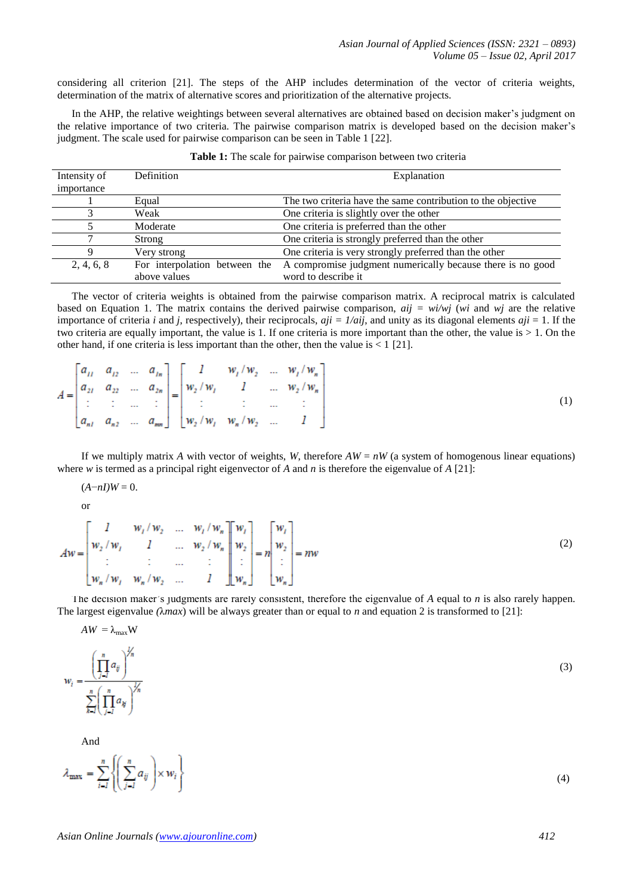considering all criterion [21]. The steps of the AHP includes determination of the vector of criteria weights, determination of the matrix of alternative scores and prioritization of the alternative projects.

In the AHP, the relative weightings between several alternatives are obtained based on decision maker's judgment on the relative importance of two criteria. The pairwise comparison matrix is developed based on the decision maker's judgment. The scale used for pairwise comparison can be seen in Table 1 [22].

| Intensity of | Definition                    | Explanation                                                  |  |  |  |
|--------------|-------------------------------|--------------------------------------------------------------|--|--|--|
| importance   |                               |                                                              |  |  |  |
|              | Equal                         | The two criteria have the same contribution to the objective |  |  |  |
|              | Weak                          | One criteria is slightly over the other                      |  |  |  |
|              | Moderate                      | One criteria is preferred than the other                     |  |  |  |
|              | Strong                        | One criteria is strongly preferred than the other            |  |  |  |
| Q            | Very strong                   | One criteria is very strongly preferred than the other       |  |  |  |
| 2, 4, 6, 8   | For interpolation between the | A compromise judgment numerically because there is no good   |  |  |  |
|              | above values                  | word to describe it                                          |  |  |  |

| Table 1: The scale for pairwise comparison between two criteria |  |  |  |  |
|-----------------------------------------------------------------|--|--|--|--|
|-----------------------------------------------------------------|--|--|--|--|

The vector of criteria weights is obtained from the pairwise comparison matrix. A reciprocal matrix is calculated based on Equation 1. The matrix contains the derived pairwise comparison, *aij = wi/wj* (*wi* and *wj* are the relative importance of criteria *i* and *j*, respectively), their reciprocals, *aji = 1/aij*, and unity as its diagonal elements *aji* = 1. If the two criteria are equally important, the value is 1. If one criteria is more important than the other, the value is > 1. On the other hand, if one criteria is less important than the other, then the value is  $\leq 1$  [21].

|  |  |  | $[a_{11} \ a_{12} \  \ a_{1n}]$ $[1 \ w_1/w_2 \  \ w_1/w_n]$<br>$A = \begin{bmatrix} a_{21} & a_{22} & \dots & a_{2n} \\ \vdots & \vdots & \dots & \vdots \\ a_{n1} & a_{n2} & \dots & a_{nn} \end{bmatrix} = \begin{bmatrix} w_2/w_1 & 1 & \dots & w_2/w_n \\ \vdots & \vdots & \dots & \vdots \\ w_2/w_1 & w_n/w_2 & \dots & 1 \end{bmatrix}$ |  |
|--|--|--|-------------------------------------------------------------------------------------------------------------------------------------------------------------------------------------------------------------------------------------------------------------------------------------------------------------------------------------------------|--|
|  |  |  |                                                                                                                                                                                                                                                                                                                                                 |  |
|  |  |  |                                                                                                                                                                                                                                                                                                                                                 |  |

If we multiply matrix A with vector of weights, *W*, therefore  $AW = nW$  (a system of homogenous linear equations) where *w* is termed as a principal right eigenvector of *A* and *n* is therefore the eigenvalue of *A* [21]:

 $(A - nI)W = 0.$ 

or

$$
Aw = \begin{bmatrix} 1 & w_1/w_2 & \dots & w_l/w_n \\ w_2/w_1 & 1 & \dots & w_2/w_n \\ \vdots & \vdots & \dots & \vdots \\ w_n/w_1 & w_n/w_2 & \dots & 1 \end{bmatrix} \begin{bmatrix} w_1 \\ w_2 \\ \vdots \\ w_n \end{bmatrix} = n \begin{bmatrix} w_1 \\ w_2 \\ \vdots \\ w_n \end{bmatrix} = nw
$$
 (2)

The decision maker's judgments are rarely consistent, therefore the eigenvalue of *A* equal to *n* is also rarely happen. The largest eigenvalue *(*λ*max*) will be always greater than or equal to *n* and equation 2 is transformed to [21]:

$$
AW = \lambda_{\text{max}} W
$$
  

$$
w_i = \frac{\left(\prod_{j=1}^n a_{ij}\right)^{\frac{1}{n}}}{\sum_{k=1}^n \left(\prod_{j=1}^n a_{kj}\right)^{\frac{1}{n}}}
$$
 (3)

And

$$
\lambda_{\max} = \sum_{i=1}^{n} \left\{ \left( \sum_{j=1}^{n} a_{ij} \right) \times w_i \right\} \tag{4}
$$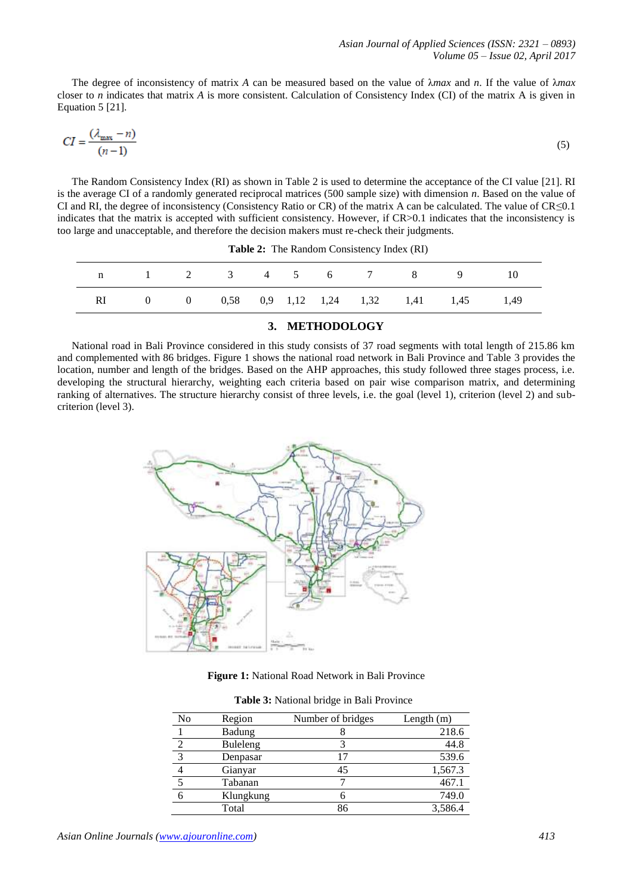The degree of inconsistency of matrix *A* can be measured based on the value of λ*max* and *n*. If the value of λ*max*  closer to *n* indicates that matrix *A* is more consistent. Calculation of Consistency Index (CI) of the matrix A is given in Equation 5 [21].

$$
CI = \frac{(\lambda_{\text{max}} - n)}{(n - 1)}\tag{5}
$$

The Random Consistency Index (RI) as shown in Table 2 is used to determine the acceptance of the CI value [21]. RI is the average CI of a randomly generated reciprocal matrices (500 sample size) with dimension *n*. Based on the value of CI and RI, the degree of inconsistency (Consistency Ratio or CR) of the matrix A can be calculated. The value of  $CR \le 0.1$ indicates that the matrix is accepted with sufficient consistency. However, if CR>0.1 indicates that the inconsistency is too large and unacceptable, and therefore the decision makers must re-check their judgments.

|  |  |  |  | n 1 2 3 4 5 6 7 8 9 10                        |  |
|--|--|--|--|-----------------------------------------------|--|
|  |  |  |  | RI 0 0 0,58 0,9 1,12 1,24 1,32 1,41 1,45 1,49 |  |
|  |  |  |  |                                               |  |

**Table 2:** The Random Consistency Index (RI)

# **3. METHODOLOGY**

National road in Bali Province considered in this study consists of 37 road segments with total length of 215.86 km and complemented with 86 bridges. Figure 1 shows the national road network in Bali Province and Table 3 provides the location, number and length of the bridges. Based on the AHP approaches, this study followed three stages process, i.e. developing the structural hierarchy, weighting each criteria based on pair wise comparison matrix, and determining ranking of alternatives. The structure hierarchy consist of three levels, i.e. the goal (level 1), criterion (level 2) and subcriterion (level 3).



**Figure 1:** National Road Network in Bali Province

|  | Table 3: National bridge in Bali Province |  |  |  |
|--|-------------------------------------------|--|--|--|
|--|-------------------------------------------|--|--|--|

| No           | Region          | Number of bridges | Length $(m)$ |
|--------------|-----------------|-------------------|--------------|
|              | <b>Badung</b>   |                   | 218.6        |
|              | <b>Buleleng</b> |                   | 44.8         |
| $\mathbf{c}$ | Denpasar        |                   | 539.6        |
|              | Gianyar         | 45                | 1,567.3      |
|              | Tabanan         |                   | 467.1        |
|              | Klungkung       |                   | 749.0        |
|              | Total           |                   | 3,586.4      |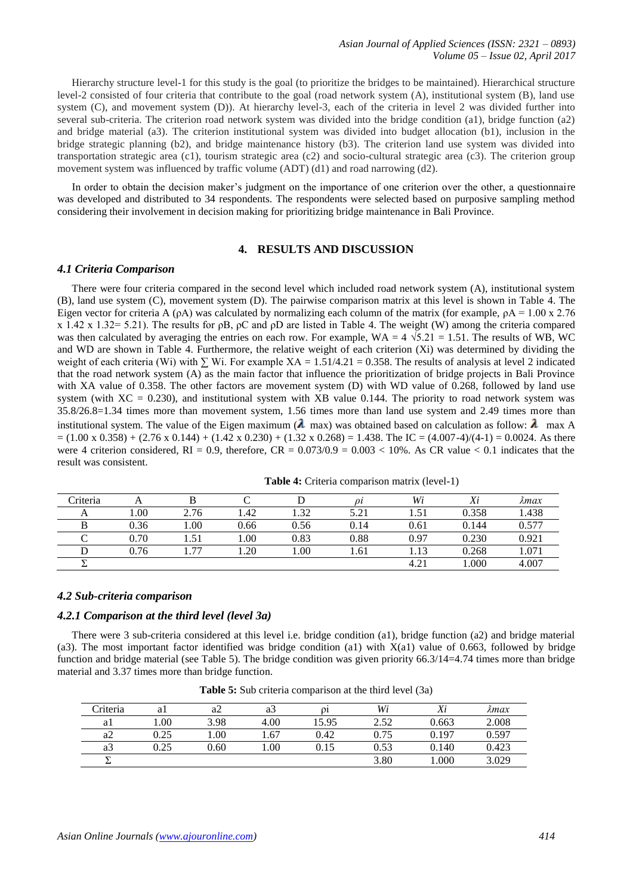Hierarchy structure level-1 for this study is the goal (to prioritize the bridges to be maintained). Hierarchical structure level-2 consisted of four criteria that contribute to the goal (road network system (A), institutional system (B), land use system (C), and movement system (D)). At hierarchy level-3, each of the criteria in level 2 was divided further into several sub-criteria. The criterion road network system was divided into the bridge condition (a1), bridge function (a2) and bridge material (a3). The criterion institutional system was divided into budget allocation (b1), inclusion in the bridge strategic planning (b2), and bridge maintenance history (b3). The criterion land use system was divided into transportation strategic area (c1), tourism strategic area (c2) and socio-cultural strategic area (c3). The criterion group movement system was influenced by traffic volume (ADT) (d1) and road narrowing (d2).

In order to obtain the decision maker's judgment on the importance of one criterion over the other, a questionnaire was developed and distributed to 34 respondents. The respondents were selected based on purposive sampling method considering their involvement in decision making for prioritizing bridge maintenance in Bali Province.

# **4. RESULTS AND DISCUSSION**

## *4.1 Criteria Comparison*

There were four criteria compared in the second level which included road network system (A), institutional system (B), land use system (C), movement system (D). The pairwise comparison matrix at this level is shown in Table 4. The Eigen vector for criteria A (ρA) was calculated by normalizing each column of the matrix (for example,  $ρA = 1.00 \times 2.76$ x 1.42 x 1.32= 5.21). The results for  $pB$ ,  $pC$  and  $pD$  are listed in Table 4. The weight (W) among the criteria compared was then calculated by averaging the entries on each row. For example, WA =  $4\sqrt{5.21} = 1.51$ . The results of WB, WC and WD are shown in Table 4. Furthermore, the relative weight of each criterion (Xi) was determined by dividing the weight of each criteria (Wi) with  $\Sigma$  Wi. For example XA = 1.51/4.21 = 0.358. The results of analysis at level 2 indicated that the road network system (A) as the main factor that influence the prioritization of bridge projects in Bali Province with XA value of 0.358. The other factors are movement system (D) with WD value of 0.268, followed by land use system (with  $XC = 0.230$ ), and institutional system with  $XB$  value 0.144. The priority to road network system was 35.8/26.8=1.34 times more than movement system, 1.56 times more than land use system and 2.49 times more than institutional system. The value of the Eigen maximum ( $\lambda$  max) was obtained based on calculation as follow:  $\lambda$  max A  $= (1.00 \times 0.358) + (2.76 \times 0.144) + (1.42 \times 0.230) + (1.32 \times 0.268) = 1.438$ . The IC =  $(4.007-4)/(4-1) = 0.0024$ . As there were 4 criterion considered,  $RI = 0.9$ , therefore,  $CR = 0.073/0.9 = 0.003 < 10\%$ . As CR value  $< 0.1$  indicates that the result was consistent.

| Criteria |      |                |      |      | Ωl   | Wi   | Xi    | л̂тах |
|----------|------|----------------|------|------|------|------|-------|-------|
|          | 00.  | 2.76           | 1.42 | .32  | 5.21 |      | 0.358 | 1.438 |
|          | 0.36 | 00.1           | 0.66 | 0.56 | 0.14 | 0.61 | 0.144 | 0.577 |
|          | 0.70 | 1.51           | 00.1 | 0.83 | 0.88 | 0.97 | 0.230 | 0.921 |
|          | 0.76 | $\overline{a}$ | .20  | .00. | 1.61 | 1.13 | 0.268 | 1.071 |
|          |      |                |      |      |      | 4.21 | .000  | 4.007 |

**Table 4:** Criteria comparison matrix (level-1)

#### *4.2 Sub-criteria comparison*

# *4.2.1 Comparison at the third level (level 3a)*

There were 3 sub-criteria considered at this level i.e. bridge condition (a1), bridge function (a2) and bridge material (a3). The most important factor identified was bridge condition (a1) with X(a1) value of 0.663, followed by bridge function and bridge material (see Table 5). The bridge condition was given priority 66.3/14=4.74 times more than bridge material and 3.37 times more than bridge function.

| Criteria |      | a2   | a3   | $\Omega$ | Wi   | Xi    | лтах  |
|----------|------|------|------|----------|------|-------|-------|
| al       | 00.1 | 3.98 | 4.00 | 15.95    | 2.52 | 0.663 | 2.008 |
| a2       | 0.25 | 00.1 | .67  | 0.42     | 0.75 | 0.197 | 0.597 |
| a3       | 0.25 | 0.60 | .00  | 0.15     | 0.53 | 0.140 | 0.423 |
|          |      |      |      |          | 3.80 | .000  | 3.029 |

**Table 5:** Sub criteria comparison at the third level (3a)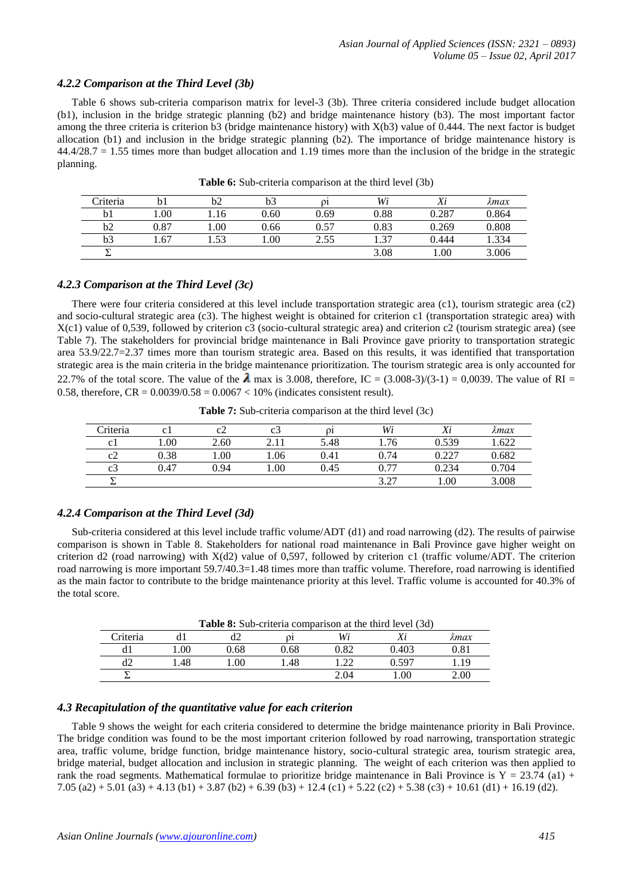#### *4.2.2 Comparison at the Third Level (3b)*

Table 6 shows sub-criteria comparison matrix for level-3 (3b). Three criteria considered include budget allocation (b1), inclusion in the bridge strategic planning (b2) and bridge maintenance history (b3). The most important factor among the three criteria is criterion b3 (bridge maintenance history) with X(b3) value of 0.444. The next factor is budget allocation (b1) and inclusion in the bridge strategic planning (b2). The importance of bridge maintenance history is  $44.4/28.7 = 1.55$  times more than budget allocation and 1.19 times more than the inclusion of the bridge in the strategic planning.

| Criteria       |      | b2   | b3   | 01   | Wi   | Xi    | λmax  |
|----------------|------|------|------|------|------|-------|-------|
|                | 1.00 | 1.16 | 0.60 | 0.69 | 0.88 | 0.287 | 0.864 |
| b2             | 0.87 | 1.00 | 0.66 | 0.57 | 0.83 | 0.269 | 0.808 |
| b <sub>3</sub> | .67  | .53  | 1.00 | 2.55 | 1.37 | 0.444 | .334  |
|                |      |      |      |      | 3.08 | 00.1  | 3.006 |

**Table 6:** Sub-criteria comparison at the third level (3b)

#### *4.2.3 Comparison at the Third Level (3c)*

There were four criteria considered at this level include transportation strategic area (c1), tourism strategic area (c2) and socio-cultural strategic area (c3). The highest weight is obtained for criterion c1 (transportation strategic area) with X(c1) value of 0,539, followed by criterion c3 (socio-cultural strategic area) and criterion c2 (tourism strategic area) (see Table 7). The stakeholders for provincial bridge maintenance in Bali Province gave priority to transportation strategic area 53.9/22.7=2.37 times more than tourism strategic area. Based on this results, it was identified that transportation strategic area is the main criteria in the bridge maintenance prioritization. The tourism strategic area is only accounted for 22.7% of the total score. The value of the  $\lambda$  max is 3.008, therefore, IC = (3.008-3)/(3-1) = 0,0039. The value of RI = 0.58, therefore,  $CR = 0.0039/0.58 = 0.0067 < 10%$  (indicates consistent result).

| Criteria |      | cΖ   | C    | 01   | Wi   | v:<br>Λι      | <i>Amax</i> |
|----------|------|------|------|------|------|---------------|-------------|
| C 1      | 1.00 | 2.60 |      | 5.48 | . 76 | 0.539         | .622        |
| c2       | 0.38 | 1.00 | 1.06 | 0.41 | 0.74 | 0.227<br>J.44 | 0.682       |
| C3       | 0.47 | 0.94 | 1.00 | 0.45 | 0.77 | 0.234         | .704        |
| -        |      |      |      |      | 3.27 | .00           | 3.008       |

**Table 7:** Sub-criteria comparison at the third level (3c)

#### *4.2.4 Comparison at the Third Level (3d)*

 $\overline{a}$  $\overline{a}$ 

Sub-criteria considered at this level include traffic volume/ADT (d1) and road narrowing (d2). The results of pairwise comparison is shown in Table 8. Stakeholders for national road maintenance in Bali Province gave higher weight on criterion d2 (road narrowing) with  $X(d2)$  value of 0,597, followed by criterion c1 (traffic volume/ADT. The criterion road narrowing is more important 59.7/40.3=1.48 times more than traffic volume. Therefore, road narrowing is identified as the main factor to contribute to the bridge maintenance priority at this level. Traffic volume is accounted for 40.3% of the total score.

| <b>Table 8:</b> Sub-criteria comparison at the third level (3d) |     |      |      |              |       |      |  |  |
|-----------------------------------------------------------------|-----|------|------|--------------|-------|------|--|--|
| Criteria                                                        |     |      |      | Wi           |       | λmax |  |  |
|                                                                 | .00 | 0.68 | 0.68 | <u> 9.82</u> | 0.403 |      |  |  |
|                                                                 | .48 | .00  | .48  | ാ            | n 597 |      |  |  |
|                                                                 |     |      |      | 2.04         | .00   | 2.00 |  |  |

*4.3 Recapitulation of the quantitative value for each criterion*

Table 9 shows the weight for each criteria considered to determine the bridge maintenance priority in Bali Province. The bridge condition was found to be the most important criterion followed by road narrowing, transportation strategic area, traffic volume, bridge function, bridge maintenance history, socio-cultural strategic area, tourism strategic area, bridge material, budget allocation and inclusion in strategic planning. The weight of each criterion was then applied to rank the road segments. Mathematical formulae to prioritize bridge maintenance in Bali Province is  $Y = 23.74$  (a1) + 7.05 (a2) + 5.01 (a3) + 4.13 (b1) + 3.87 (b2) + 6.39 (b3) + 12.4 (c1) + 5.22 (c2) + 5.38 (c3) + 10.61 (d1) + 16.19 (d2).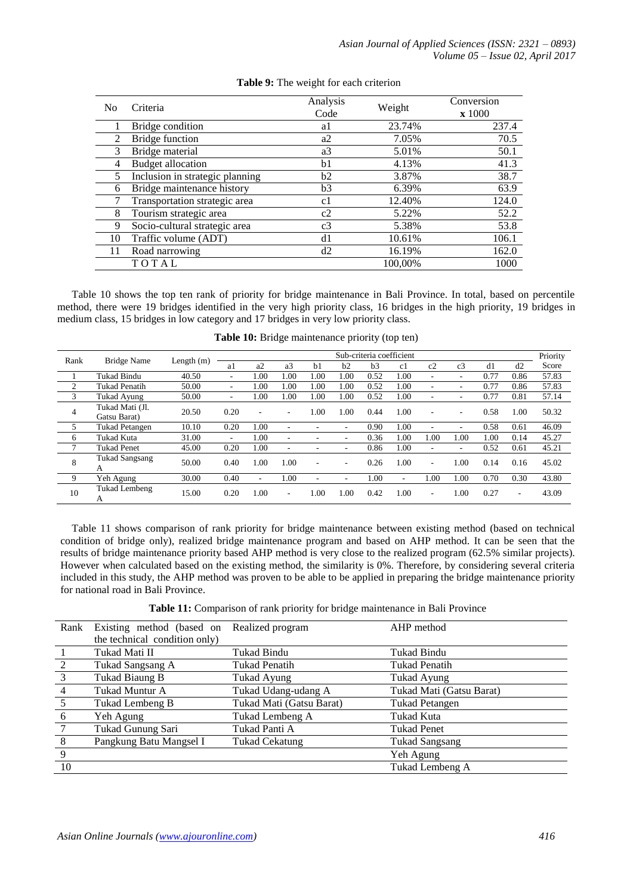| N <sub>0</sub> | Criteria                        | Analysis<br>Code | Weight  | Conversion<br>$\mathbf{x}$ 1000 |
|----------------|---------------------------------|------------------|---------|---------------------------------|
|                | Bridge condition                | a1               | 23.74%  | 237.4                           |
| 2              | <b>Bridge function</b>          | a2               | 7.05%   | 70.5                            |
| 3              | Bridge material                 | a3               | 5.01%   | 50.1                            |
| 4              | <b>Budget allocation</b>        | b1               | 4.13%   | 41.3                            |
| 5              | Inclusion in strategic planning | b2               | 3.87%   | 38.7                            |
| 6              | Bridge maintenance history      | b3               | 6.39%   | 63.9                            |
|                | Transportation strategic area   | c1               | 12.40%  | 124.0                           |
| 8              | Tourism strategic area          | c2               | 5.22%   | 52.2                            |
| 9              | Socio-cultural strategic area   | c3               | 5.38%   | 53.8                            |
| 10             | Traffic volume (ADT)            | d1               | 10.61%  | 106.1                           |
| 11             | Road narrowing                  | d2               | 16.19%  | 162.0                           |
|                | TOTAL                           |                  | 100,00% | 1000                            |

## **Table 9:** The weight for each criterion

Table 10 shows the top ten rank of priority for bridge maintenance in Bali Province. In total, based on percentile method, there were 19 bridges identified in the very high priority class, 16 bridges in the high priority, 19 bridges in medium class, 15 bridges in low category and 17 bridges in very low priority class.

| Rank           | <b>Bridge Name</b>              | Length $(m)$ | Sub-criteria coefficient |      |                |                |      |      |      |                          |                | Priority |      |       |
|----------------|---------------------------------|--------------|--------------------------|------|----------------|----------------|------|------|------|--------------------------|----------------|----------|------|-------|
|                |                                 |              | a1                       | a2   | a <sub>3</sub> | h <sub>1</sub> | h2   | b3   | c1   | c2                       | c <sub>3</sub> | d1       | d2   | Score |
|                | <b>Tukad Bindu</b>              | 40.50        | -                        | 00.1 | 1.00           | 1.00           | 00.1 | 0.52 | 1.00 | ۰                        | ۰              | 0.77     | 0.86 | 57.83 |
| $\overline{2}$ | <b>Tukad Penatih</b>            | 50.00        | -                        | .00. | 1.00           | 1.00           | 1.00 | 0.52 | 1.00 | ۰                        | ٠              | 0.77     | 0.86 | 57.83 |
| 3              | Tukad Ayung                     | 50.00        | ۰                        | 1.00 | 1.00           | 1.00           | 1.00 | 0.52 | 1.00 | ٠                        | ٠              | 0.77     | 0.81 | 57.14 |
| 4              | Tukad Mati (Jl.<br>Gatsu Barat) | 20.50        | 0.20                     | ۰    | -              | 1.00           | 00.1 | 0.44 | 1.00 | ۰                        | ٠              | 0.58     | 1.00 | 50.32 |
| 5              | <b>Tukad Petangen</b>           | 10.10        | 0.20                     | 1.00 | -              |                |      | 0.90 | 1.00 | $\overline{\phantom{a}}$ | ٠              | 0.58     | 0.61 | 46.09 |
| 6              | Tukad Kuta                      | 31.00        | ٠                        | 1.00 | -              |                |      | 0.36 | 1.00 | 1.00                     | 1.00           | 1.00     | 0.14 | 45.27 |
| $\mathbf{r}$   | <b>Tukad Penet</b>              | 45.00        | 0.20                     | 1.00 | -              |                |      | 0.86 | 1.00 | ٠                        | ۰              | 0.52     | 0.61 | 45.21 |
| 8              | Tukad Sangsang<br>А             | 50.00        | 0.40                     | 1.00 | 1.00           | ۰              | ٠    | 0.26 | 1.00 | $\overline{\phantom{a}}$ | 1.00           | 0.14     | 0.16 | 45.02 |
| -9             | Yeh Agung                       | 30.00        | 0.40                     | ۰    | 1.00           | ۰              |      | 1.00 | ٠    | 1.00                     | 1.00           | 0.70     | 0.30 | 43.80 |
| 10             | <b>Tukad Lembeng</b><br>А       | 15.00        | 0.20                     | 1.00 | ٠              | .00            | 00.1 | 0.42 | 1.00 | $\overline{\phantom{a}}$ | 1.00           | 0.27     | ۰    | 43.09 |

**Table 10:** Bridge maintenance priority (top ten)

Table 11 shows comparison of rank priority for bridge maintenance between existing method (based on technical condition of bridge only), realized bridge maintenance program and based on AHP method. It can be seen that the results of bridge maintenance priority based AHP method is very close to the realized program (62.5% similar projects). However when calculated based on the existing method, the similarity is 0%. Therefore, by considering several criteria included in this study, the AHP method was proven to be able to be applied in preparing the bridge maintenance priority for national road in Bali Province.

**Table 11:** Comparison of rank priority for bridge maintenance in Bali Province

| Rank            | Existing method (based on     | Realized program         | AHP method               |  |  |  |  |
|-----------------|-------------------------------|--------------------------|--------------------------|--|--|--|--|
|                 | the technical condition only) |                          |                          |  |  |  |  |
|                 | Tukad Mati II                 | Tukad Bindu              | Tukad Bindu              |  |  |  |  |
| 2               | Tukad Sangsang A              | <b>Tukad Penatih</b>     | <b>Tukad Penatih</b>     |  |  |  |  |
| $\overline{3}$  | Tukad Biaung B                | Tukad Ayung              | Tukad Ayung              |  |  |  |  |
| $\overline{4}$  | Tukad Muntur A                | Tukad Udang-udang A      | Tukad Mati (Gatsu Barat) |  |  |  |  |
| $5\overline{)}$ | Tukad Lembeng B               | Tukad Mati (Gatsu Barat) | <b>Tukad Petangen</b>    |  |  |  |  |
| -6              | Yeh Agung                     | Tukad Lembeng A          | Tukad Kuta               |  |  |  |  |
| 7               | Tukad Gunung Sari             | Tukad Panti A            | <b>Tukad Penet</b>       |  |  |  |  |
| 8               | Pangkung Batu Mangsel I       | Tukad Cekatung           | <b>Tukad Sangsang</b>    |  |  |  |  |
| 9               |                               |                          | Yeh Agung                |  |  |  |  |
| 10              |                               |                          | Tukad Lembeng A          |  |  |  |  |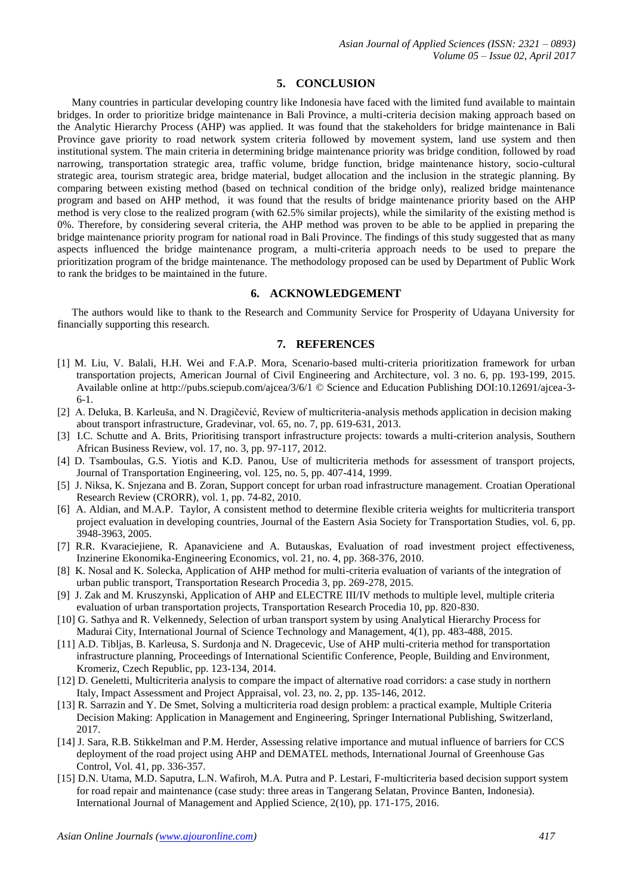#### **5. CONCLUSION**

Many countries in particular developing country like Indonesia have faced with the limited fund available to maintain bridges. In order to prioritize bridge maintenance in Bali Province, a multi-criteria decision making approach based on the Analytic Hierarchy Process (AHP) was applied. It was found that the stakeholders for bridge maintenance in Bali Province gave priority to road network system criteria followed by movement system, land use system and then institutional system. The main criteria in determining bridge maintenance priority was bridge condition, followed by road narrowing, transportation strategic area, traffic volume, bridge function, bridge maintenance history, socio-cultural strategic area, tourism strategic area, bridge material, budget allocation and the inclusion in the strategic planning. By comparing between existing method (based on technical condition of the bridge only), realized bridge maintenance program and based on AHP method, it was found that the results of bridge maintenance priority based on the AHP method is very close to the realized program (with 62.5% similar projects), while the similarity of the existing method is 0%. Therefore, by considering several criteria, the AHP method was proven to be able to be applied in preparing the bridge maintenance priority program for national road in Bali Province. The findings of this study suggested that as many aspects influenced the bridge maintenance program, a multi-criteria approach needs to be used to prepare the prioritization program of the bridge maintenance. The methodology proposed can be used by Department of Public Work to rank the bridges to be maintained in the future.

# **6. ACKNOWLEDGEMENT**

The authors would like to thank to the Research and Community Service for Prosperity of Udayana University for financially supporting this research.

# **7. REFERENCES**

- [1] M. Liu, V. Balali, H.H. Wei and F.A.P. Mora, Scenario-based multi-criteria prioritization framework for urban transportation projects, American Journal of Civil Engineering and Architecture*,* vol. 3 no. 6, pp. 193-199, 2015. Available online at http://pubs.sciepub.com/ajcea/3/6/1 © Science and Education Publishing DOI:10.12691/ajcea-3- 6-1.
- [2] A. Deluka, B. Karleuša, and N. Dragičević, Review of multicriteria-analysis methods application in decision making about transport infrastructure, Gradevinar, vol. 65, no. 7, pp. 619-631, 2013.
- [3] I.C. Schutte and A. Brits, Prioritising transport infrastructure projects: towards a multi-criterion analysis, Southern African Business Review, vol. 17, no. 3, pp. 97-117, 2012.
- [4] D. Tsamboulas, G.S. Yiotis and K.D. Panou, Use of multicriteria methods for assessment of transport projects, Journal of Transportation Engineering, vol. 125, no. 5, pp. 407-414, 1999.
- [5] J. Niksa, K. Snjezana and B. Zoran, Support concept for urban road infrastructure management. Croatian Operational Research Review (CRORR)*,* vol. 1, pp. 74-82, 2010.
- [6] A. Aldian, and M.A.P. Taylor, A consistent method to determine flexible criteria weights for multicriteria transport project evaluation in developing countries, Journal of the Eastern Asia Society for Transportation Studies, vol. 6, pp. 3948-3963, 2005.
- [7] R.R. Kvaraciejiene, R. Apanaviciene and A. Butauskas, Evaluation of road investment project effectiveness, Inzinerine Ekonomika-Engineering Economics, vol. 21, no. 4, pp. 368-376, 2010.
- [8] K. Nosal and K. Solecka, Application of AHP method for multi-criteria evaluation of variants of the integration of urban public transport, Transportation Research Procedia 3, pp. 269-278, 2015.
- [9] J. Zak and M. Kruszynski, Application of AHP and ELECTRE III/IV methods to multiple level, multiple criteria evaluation of urban transportation projects, Transportation Research Procedia 10, pp. 820-830.
- [10] G. Sathya and R. Velkennedy, Selection of urban transport system by using Analytical Hierarchy Process for Madurai City, International Journal of Science Technology and Management, 4(1), pp. 483-488, 2015.
- [11] A.D. Tibljas, B. Karleusa, S. Surdonja and N. Dragecevic, Use of AHP multi-criteria method for transportation infrastructure planning, Proceedings of International Scientific Conference, People, Building and Environment, Kromeriz, Czech Republic, pp. 123-134, 2014.
- [12] D. Geneletti, Multicriteria analysis to compare the impact of alternative road corridors: a case study in northern Italy, Impact Assessment and Project Appraisal*,* vol. 23, no. 2, pp. 135-146, 2012.
- [13] R. Sarrazin and Y. De Smet, Solving a multicriteria road design problem: a practical example, Multiple Criteria Decision Making: Application in Management and Engineering, Springer International Publishing, Switzerland, 2017.
- [14] J. Sara, R.B. Stikkelman and P.M. Herder, Assessing relative importance and mutual influence of barriers for CCS deployment of the road project using AHP and DEMATEL methods, International Journal of Greenhouse Gas Control, Vol. 41, pp. 336-357.
- [15] D.N. Utama, M.D. Saputra, L.N. Wafiroh, M.A. Putra and P. Lestari, F-multicriteria based decision support system for road repair and maintenance (case study: three areas in Tangerang Selatan, Province Banten, Indonesia). International Journal of Management and Applied Science, 2(10), pp. 171-175, 2016.